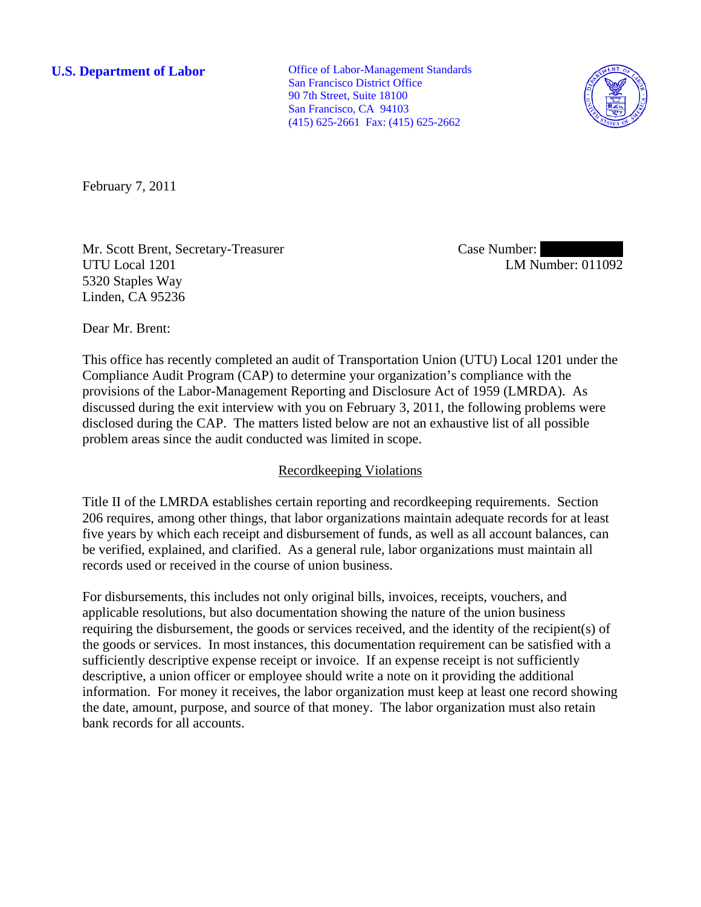**U.S. Department of Labor Office of Labor-Management Standards** San Francisco District Office 90 7th Street, Suite 18100 San Francisco, CA 94103 (415) 625-2661 Fax: (415) 625-2662



February 7, 2011

Mr. Scott Brent, Secretary-Treasurer UTU Local 1201 5320 Staples Way Linden, CA 95236

Case Number: LM Number: 011092

Dear Mr. Brent:

This office has recently completed an audit of Transportation Union (UTU) Local 1201 under the Compliance Audit Program (CAP) to determine your organization's compliance with the provisions of the Labor-Management Reporting and Disclosure Act of 1959 (LMRDA). As discussed during the exit interview with you on February 3, 2011, the following problems were disclosed during the CAP. The matters listed below are not an exhaustive list of all possible problem areas since the audit conducted was limited in scope.

## Recordkeeping Violations

Title II of the LMRDA establishes certain reporting and recordkeeping requirements. Section 206 requires, among other things, that labor organizations maintain adequate records for at least five years by which each receipt and disbursement of funds, as well as all account balances, can be verified, explained, and clarified. As a general rule, labor organizations must maintain all records used or received in the course of union business.

For disbursements, this includes not only original bills, invoices, receipts, vouchers, and applicable resolutions, but also documentation showing the nature of the union business requiring the disbursement, the goods or services received, and the identity of the recipient(s) of the goods or services. In most instances, this documentation requirement can be satisfied with a sufficiently descriptive expense receipt or invoice. If an expense receipt is not sufficiently descriptive, a union officer or employee should write a note on it providing the additional information. For money it receives, the labor organization must keep at least one record showing the date, amount, purpose, and source of that money. The labor organization must also retain bank records for all accounts.